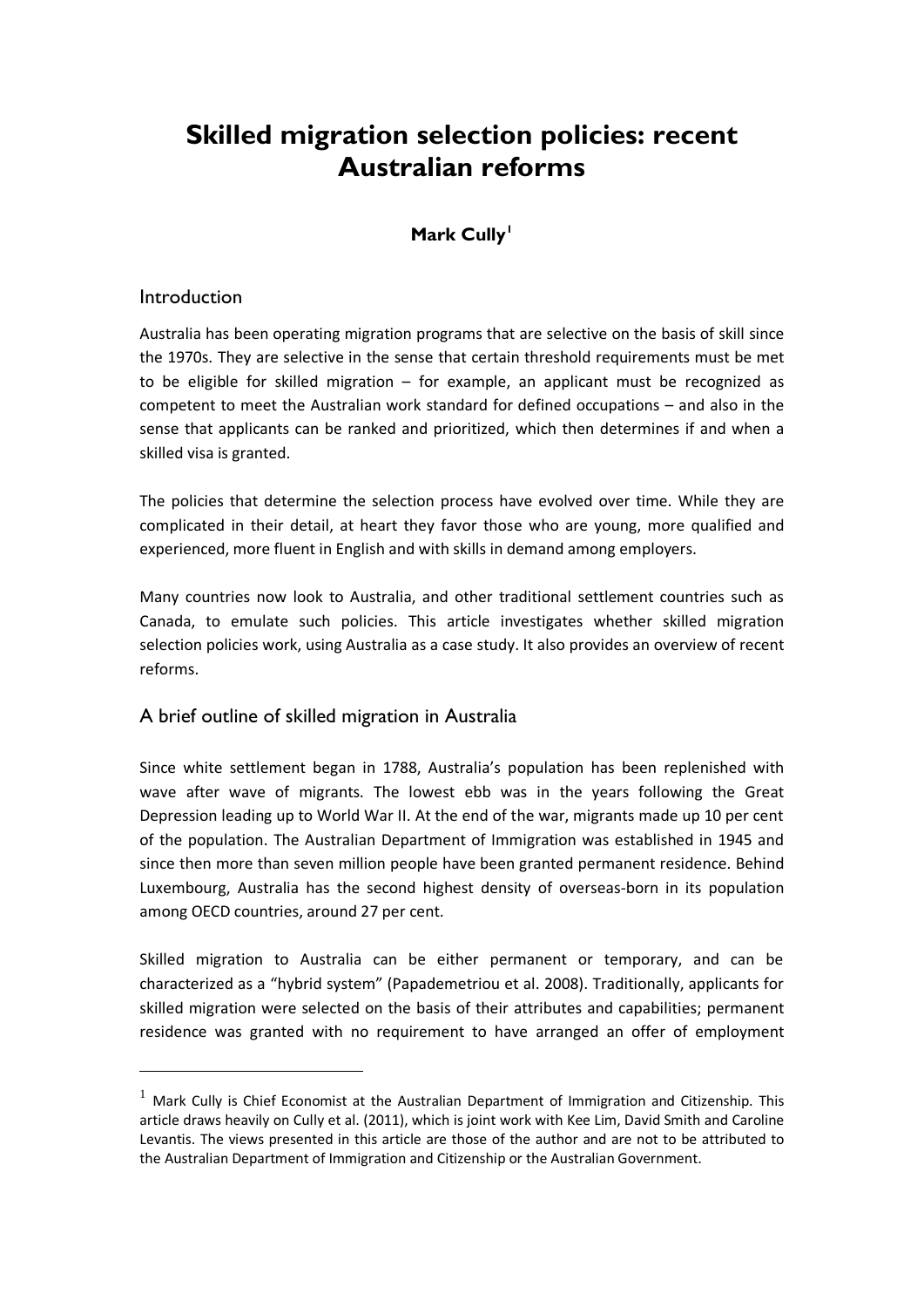# **Skilled migration selection policies: recent Australian reforms**

# **Mark Cully[1](#page-0-0)**

#### Introduction

<u>.</u>

Australia has been operating migration programs that are selective on the basis of skill since the 1970s. They are selective in the sense that certain threshold requirements must be met to be eligible for skilled migration – for example, an applicant must be recognized as competent to meet the Australian work standard for defined occupations – and also in the sense that applicants can be ranked and prioritized, which then determines if and when a skilled visa is granted.

The policies that determine the selection process have evolved over time. While they are complicated in their detail, at heart they favor those who are young, more qualified and experienced, more fluent in English and with skills in demand among employers.

Many countries now look to Australia, and other traditional settlement countries such as Canada, to emulate such policies. This article investigates whether skilled migration selection policies work, using Australia as a case study. It also provides an overview of recent reforms.

## A brief outline of skilled migration in Australia

Since white settlement began in 1788, Australia's population has been replenished with wave after wave of migrants. The lowest ebb was in the years following the Great Depression leading up to World War II. At the end of the war, migrants made up 10 per cent of the population. The Australian Department of Immigration was established in 1945 and since then more than seven million people have been granted permanent residence. Behind Luxembourg, Australia has the second highest density of overseas-born in its population among OECD countries, around 27 per cent.

Skilled migration to Australia can be either permanent or temporary, and can be characterized as a "hybrid system" (Papademetriou et al. 2008). Traditionally, applicants for skilled migration were selected on the basis of their attributes and capabilities; permanent residence was granted with no requirement to have arranged an offer of employment

<span id="page-0-1"></span><span id="page-0-0"></span> $1$  Mark Cully is Chief Economist at the Australian Department of Immigration and Citizenship. This article draws heavily on Cully et al. (2011), which is joint work with Kee Lim, David Smith and Caroline Levantis. The views presented in this article are those of the author and are not to be attributed to the Australian Department of Immigration and Citizenship or the Australian Government.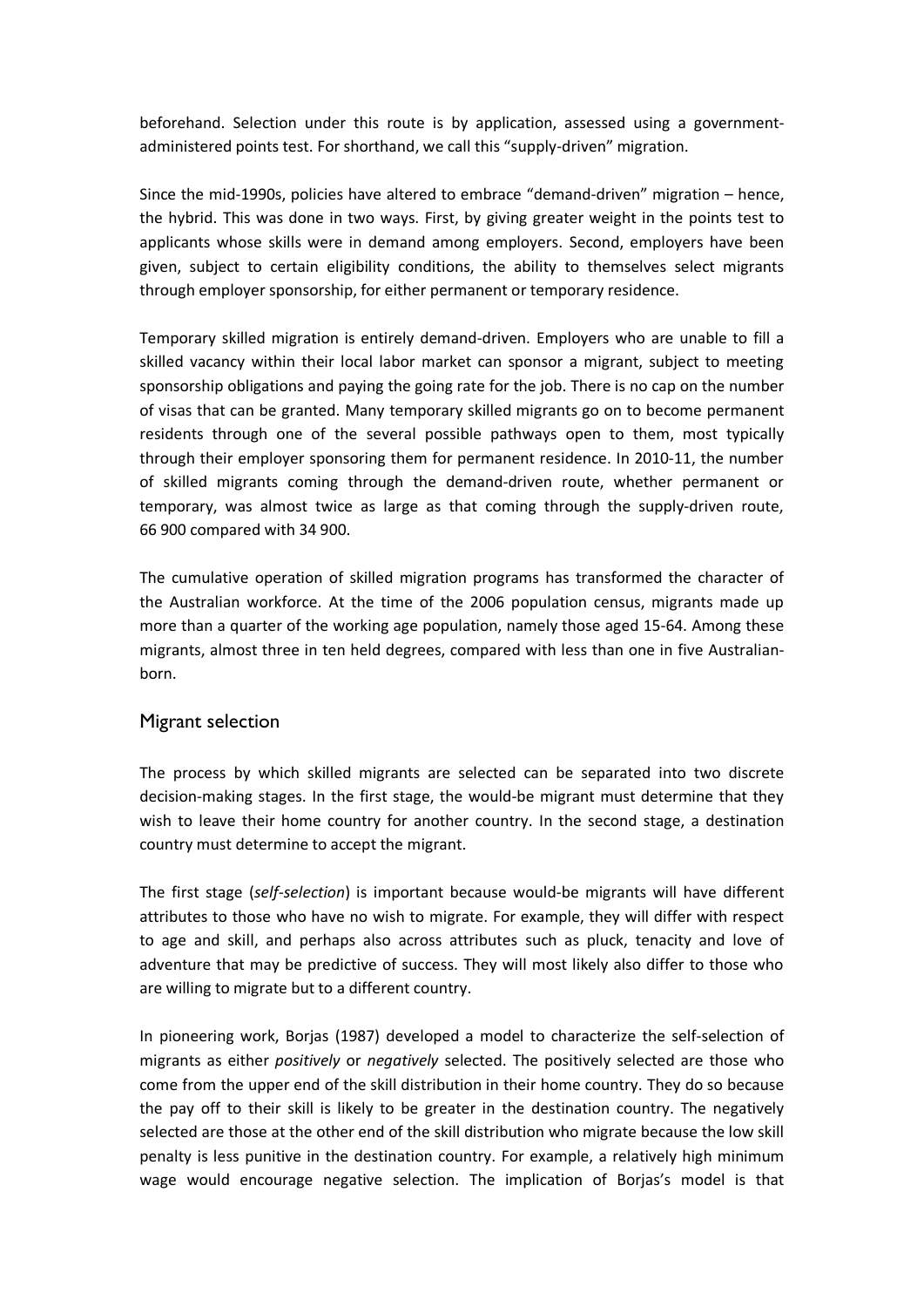beforehand. Selection under this route is by application, assessed using a governmentadministered points test. For shorthand, we call this "supply-driven" migration.

Since the mid-1990s, policies have altered to embrace "demand-driven" migration – hence, the hybrid. This was done in two ways. First, by giving greater weight in the points test to applicants whose skills were in demand among employers. Second, employers have been given, subject to certain eligibility conditions, the ability to themselves select migrants through employer sponsorship, for either permanent or temporary residence.

Temporary skilled migration is entirely demand-driven. Employers who are unable to fill a skilled vacancy within their local labor market can sponsor a migrant, subject to meeting sponsorship obligations and paying the going rate for the job. There is no cap on the number of visas that can be granted. Many temporary skilled migrants go on to become permanent residents through one of the several possible pathways open to them, most typically through their employer sponsoring them for permanent residence. In 2010-11, the number of skilled migrants coming through the demand-driven route, whether permanent or temporary, was almost twice as large as that coming through the supply-driven route, 66 900 compared with 34 900.

The cumulative operation of skilled migration programs has transformed the character of the Australian workforce. At the time of the 2006 population census, migrants made up more than a quarter of the working age population, namely those aged 15-64. Among these migrants, almost three in ten held degrees, compared with less than one in five Australianborn.

## Migrant selection

The process by which skilled migrants are selected can be separated into two discrete decision-making stages. In the first stage, the would-be migrant must determine that they wish to leave their home country for another country. In the second stage, a destination country must determine to accept the migrant.

The first stage (*self-selection*) is important because would-be migrants will have different attributes to those who have no wish to migrate. For example, they will differ with respect to age and skill, and perhaps also across attributes such as pluck, tenacity and love of adventure that may be predictive of success. They will most likely also differ to those who are willing to migrate but to a different country.

In pioneering work, Borjas (1987) developed a model to characterize the self-selection of migrants as either *positively* or *negatively* selected. The positively selected are those who come from the upper end of the skill distribution in their home country. They do so because the pay off to their skill is likely to be greater in the destination country. The negatively selected are those at the other end of the skill distribution who migrate because the low skill penalty is less punitive in the destination country. For example, a relatively high minimum wage would encourage negative selection. The implication of Borjas's model is that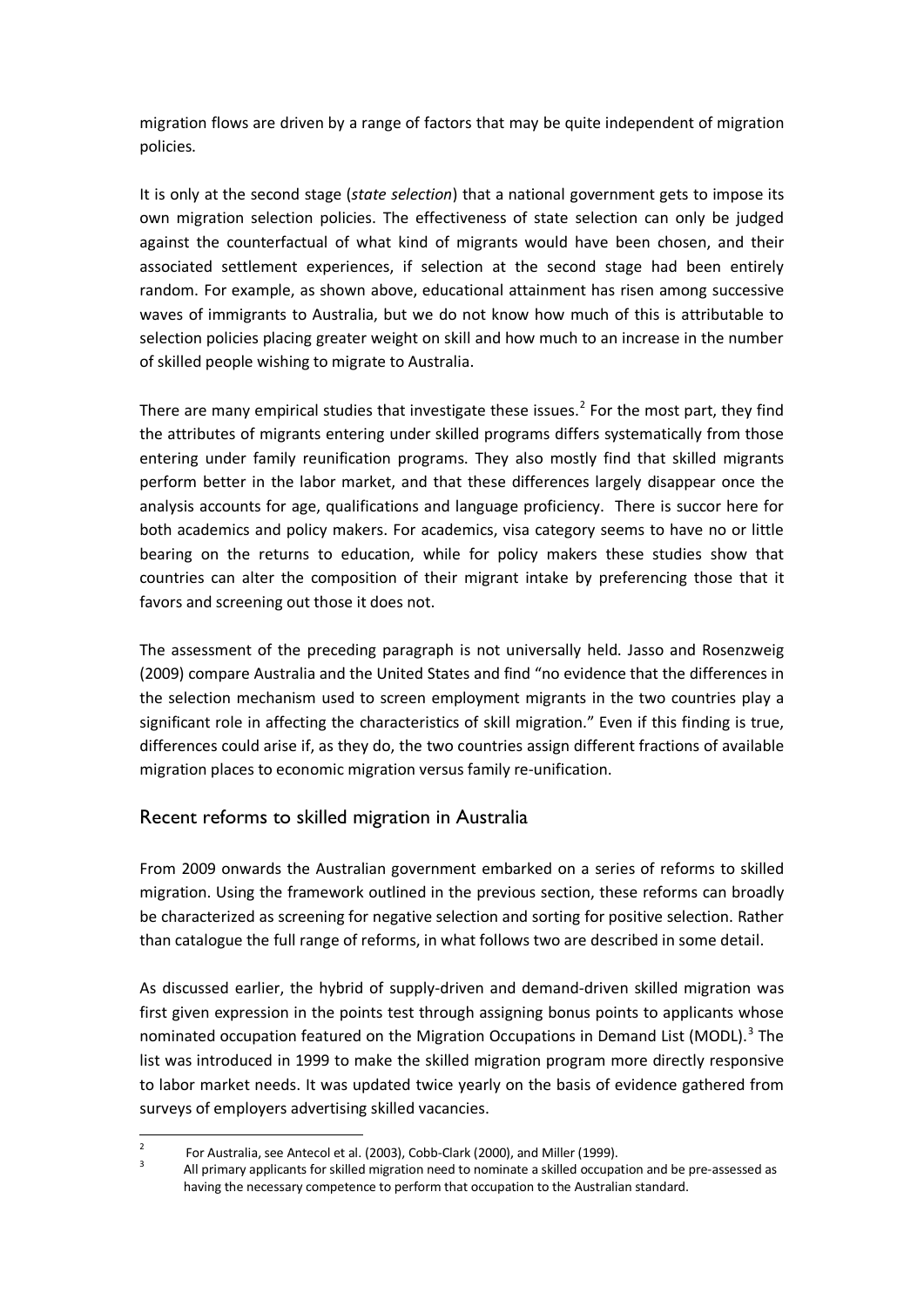migration flows are driven by a range of factors that may be quite independent of migration policies.

It is only at the second stage (*state selection*) that a national government gets to impose its own migration selection policies. The effectiveness of state selection can only be judged against the counterfactual of what kind of migrants would have been chosen, and their associated settlement experiences, if selection at the second stage had been entirely random. For example, as shown above, educational attainment has risen among successive waves of immigrants to Australia, but we do not know how much of this is attributable to selection policies placing greater weight on skill and how much to an increase in the number of skilled people wishing to migrate to Australia.

There are many empirical studies that investigate these issues.<sup>[2](#page-0-1)</sup> For the most part, they find the attributes of migrants entering under skilled programs differs systematically from those entering under family reunification programs. They also mostly find that skilled migrants perform better in the labor market, and that these differences largely disappear once the analysis accounts for age, qualifications and language proficiency. There is succor here for both academics and policy makers. For academics, visa category seems to have no or little bearing on the returns to education, while for policy makers these studies show that countries can alter the composition of their migrant intake by preferencing those that it favors and screening out those it does not.

The assessment of the preceding paragraph is not universally held. Jasso and Rosenzweig (2009) compare Australia and the United States and find "no evidence that the differences in the selection mechanism used to screen employment migrants in the two countries play a significant role in affecting the characteristics of skill migration." Even if this finding is true, differences could arise if, as they do, the two countries assign different fractions of available migration places to economic migration versus family re-unification.

## Recent reforms to skilled migration in Australia

From 2009 onwards the Australian government embarked on a series of reforms to skilled migration. Using the framework outlined in the previous section, these reforms can broadly be characterized as screening for negative selection and sorting for positive selection. Rather than catalogue the full range of reforms, in what follows two are described in some detail.

As discussed earlier, the hybrid of supply-driven and demand-driven skilled migration was first given expression in the points test through assigning bonus points to applicants whose nominated occupation featured on the Migration Occupations in Demand List (MODL).<sup>[3](#page-2-0)</sup> The list was introduced in 1999 to make the skilled migration program more directly responsive to labor market needs. It was updated twice yearly on the basis of evidence gathered from surveys of employers advertising skilled vacancies.

 $\frac{1}{2}$ 

<span id="page-2-0"></span>For Australia, see Antecol et al. (2003), Cobb-Clark (2000), and Miller (1999).<br>3 All primary applicants for skilled migration need to nominate a skilled occupation and be pre-assessed as having the necessary competence to perform that occupation to the Australian standard.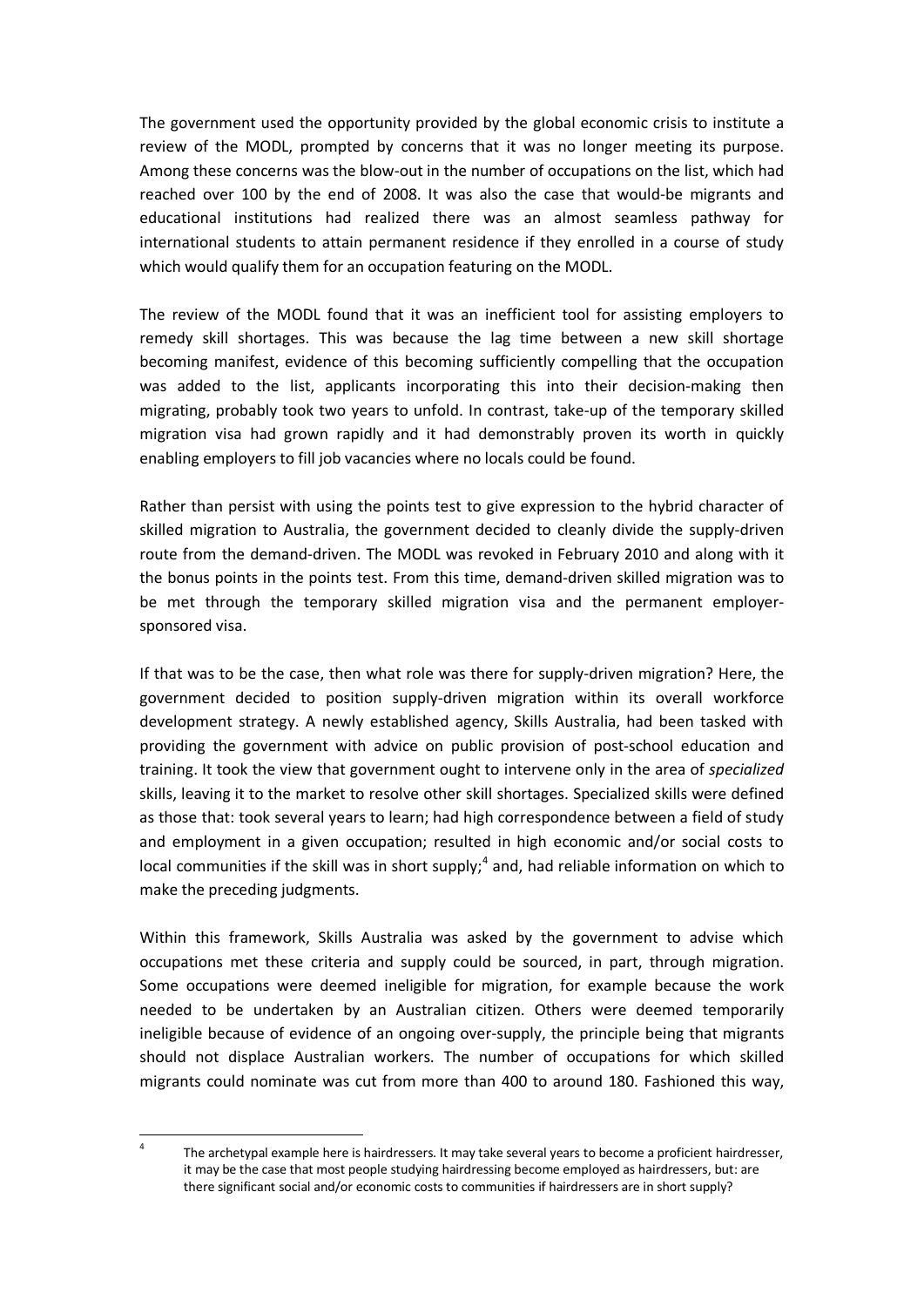The government used the opportunity provided by the global economic crisis to institute a review of the MODL, prompted by concerns that it was no longer meeting its purpose. Among these concerns was the blow-out in the number of occupations on the list, which had reached over 100 by the end of 2008. It was also the case that would-be migrants and educational institutions had realized there was an almost seamless pathway for international students to attain permanent residence if they enrolled in a course of study which would qualify them for an occupation featuring on the MODL.

The review of the MODL found that it was an inefficient tool for assisting employers to remedy skill shortages. This was because the lag time between a new skill shortage becoming manifest, evidence of this becoming sufficiently compelling that the occupation was added to the list, applicants incorporating this into their decision-making then migrating, probably took two years to unfold. In contrast, take-up of the temporary skilled migration visa had grown rapidly and it had demonstrably proven its worth in quickly enabling employers to fill job vacancies where no locals could be found.

Rather than persist with using the points test to give expression to the hybrid character of skilled migration to Australia, the government decided to cleanly divide the supply-driven route from the demand-driven. The MODL was revoked in February 2010 and along with it the bonus points in the points test. From this time, demand-driven skilled migration was to be met through the temporary skilled migration visa and the permanent employersponsored visa.

If that was to be the case, then what role was there for supply-driven migration? Here, the government decided to position supply-driven migration within its overall workforce development strategy. A newly established agency, Skills Australia, had been tasked with providing the government with advice on public provision of post-school education and training. It took the view that government ought to intervene only in the area of *specialized* skills, leaving it to the market to resolve other skill shortages. Specialized skills were defined as those that: took several years to learn; had high correspondence between a field of study and employment in a given occupation; resulted in high economic and/or social costs to local communities if the skill was in short supply;<sup>[4](#page-2-0)</sup> and, had reliable information on which to make the preceding judgments.

Within this framework, Skills Australia was asked by the government to advise which occupations met these criteria and supply could be sourced, in part, through migration. Some occupations were deemed ineligible for migration, for example because the work needed to be undertaken by an Australian citizen. Others were deemed temporarily ineligible because of evidence of an ongoing over-supply, the principle being that migrants should not displace Australian workers. The number of occupations for which skilled migrants could nominate was cut from more than 400 to around 180. Fashioned this way,

<span id="page-3-0"></span><sup>&</sup>lt;sup>4</sup> The archetypal example here is hairdressers. It may take several years to become a proficient hairdresser, it may be the case that most people studying hairdressing become employed as hairdressers, but: are there significant social and/or economic costs to communities if hairdressers are in short supply?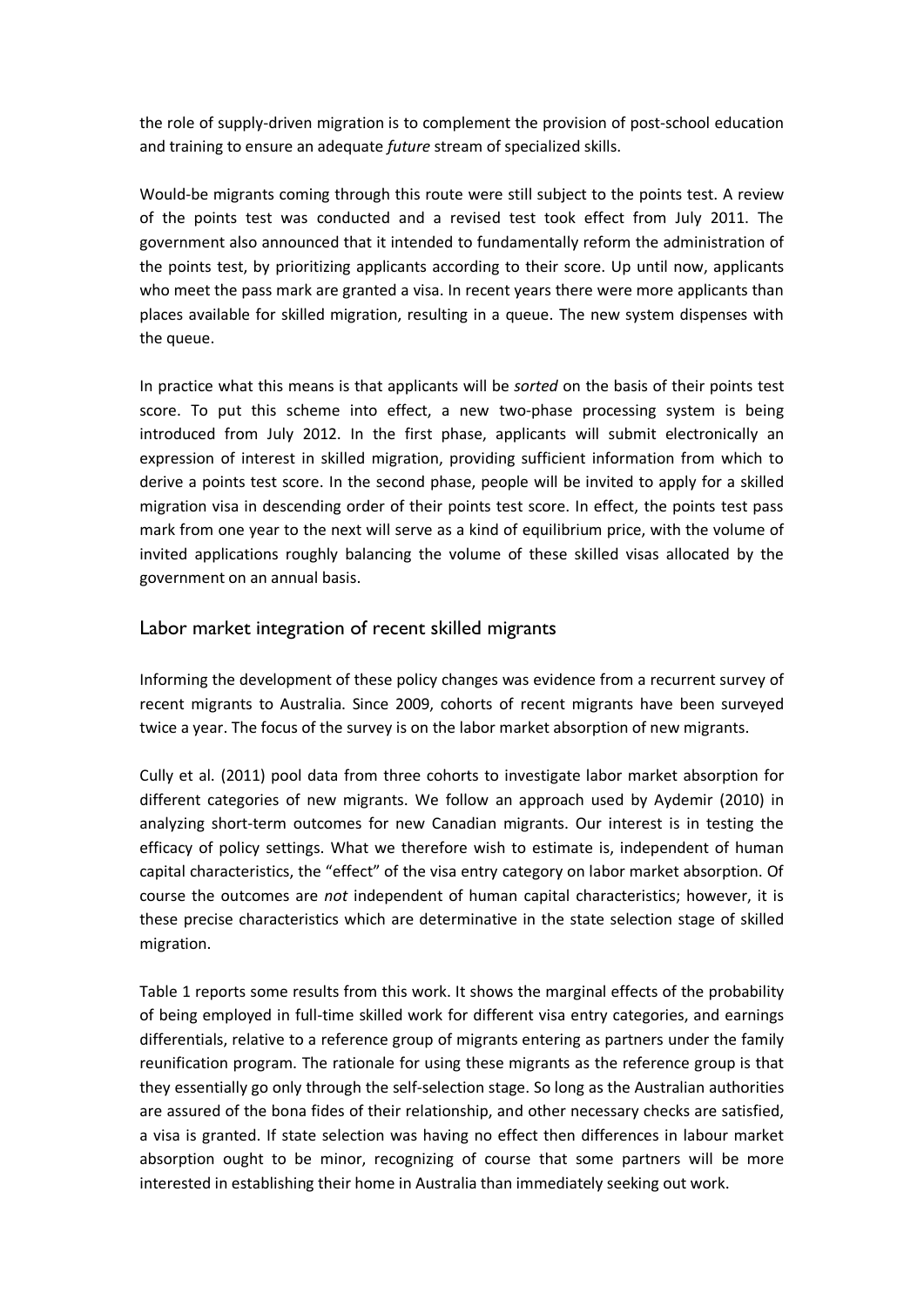the role of supply-driven migration is to complement the provision of post-school education and training to ensure an adequate *future* stream of specialized skills.

Would-be migrants coming through this route were still subject to the points test. A review of the points test was conducted and a revised test took effect from July 2011. The government also announced that it intended to fundamentally reform the administration of the points test, by prioritizing applicants according to their score. Up until now, applicants who meet the pass mark are granted a visa. In recent years there were more applicants than places available for skilled migration, resulting in a queue. The new system dispenses with the queue.

In practice what this means is that applicants will be *sorted* on the basis of their points test score. To put this scheme into effect, a new two-phase processing system is being introduced from July 2012. In the first phase, applicants will submit electronically an expression of interest in skilled migration, providing sufficient information from which to derive a points test score. In the second phase, people will be invited to apply for a skilled migration visa in descending order of their points test score. In effect, the points test pass mark from one year to the next will serve as a kind of equilibrium price, with the volume of invited applications roughly balancing the volume of these skilled visas allocated by the government on an annual basis.

#### Labor market integration of recent skilled migrants

Informing the development of these policy changes was evidence from a recurrent survey of recent migrants to Australia. Since 2009, cohorts of recent migrants have been surveyed twice a year. The focus of the survey is on the labor market absorption of new migrants.

Cully et al. (2011) pool data from three cohorts to investigate labor market absorption for different categories of new migrants. We follow an approach used by Aydemir (2010) in analyzing short-term outcomes for new Canadian migrants. Our interest is in testing the efficacy of policy settings. What we therefore wish to estimate is, independent of human capital characteristics, the "effect" of the visa entry category on labor market absorption. Of course the outcomes are *not* independent of human capital characteristics; however, it is these precise characteristics which are determinative in the state selection stage of skilled migration.

Table 1 reports some results from this work. It shows the marginal effects of the probability of being employed in full-time skilled work for different visa entry categories, and earnings differentials, relative to a reference group of migrants entering as partners under the family reunification program. The rationale for using these migrants as the reference group is that they essentially go only through the self-selection stage. So long as the Australian authorities are assured of the bona fides of their relationship, and other necessary checks are satisfied, a visa is granted. If state selection was having no effect then differences in labour market absorption ought to be minor, recognizing of course that some partners will be more interested in establishing their home in Australia than immediately seeking out work.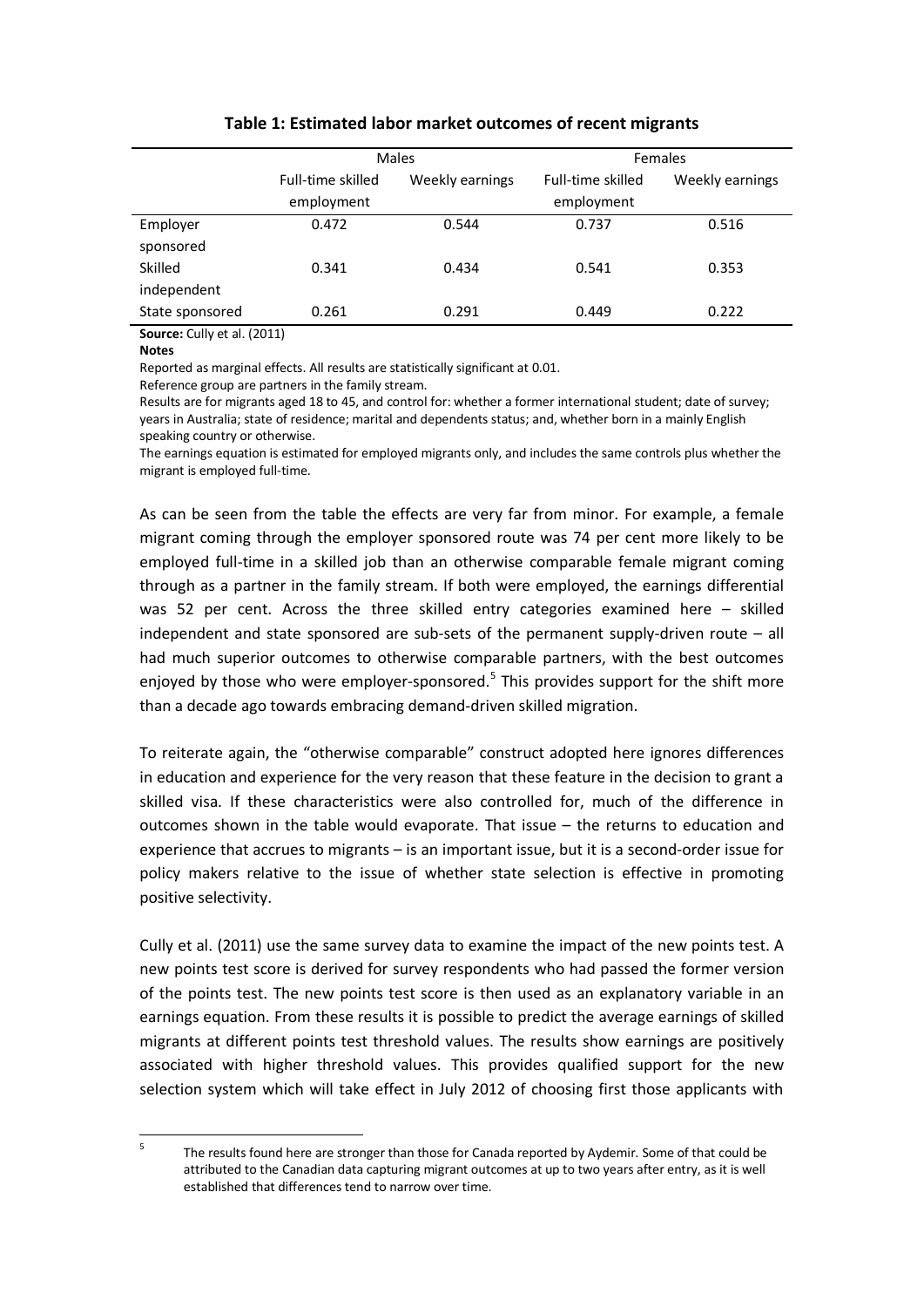|                 | Males             |                 | <b>Females</b>    |                 |
|-----------------|-------------------|-----------------|-------------------|-----------------|
|                 | Full-time skilled | Weekly earnings | Full-time skilled | Weekly earnings |
|                 | employment        |                 | employment        |                 |
| Employer        | 0.472             | 0.544           | 0.737             | 0.516           |
| sponsored       |                   |                 |                   |                 |
| Skilled         | 0.341             | 0.434           | 0.541             | 0.353           |
| independent     |                   |                 |                   |                 |
| State sponsored | 0.261             | 0.291           | 0.449             | 0.222           |

#### **Table 1: Estimated labor market outcomes of recent migrants**

**Source:** Cully et al. (2011)

**Notes**

Reported as marginal effects. All results are statistically significant at 0.01.

Reference group are partners in the family stream.

Results are for migrants aged 18 to 45, and control for: whether a former international student; date of survey; years in Australia; state of residence; marital and dependents status; and, whether born in a mainly English speaking country or otherwise.

The earnings equation is estimated for employed migrants only, and includes the same controls plus whether the migrant is employed full-time.

As can be seen from the table the effects are very far from minor. For example, a female migrant coming through the employer sponsored route was 74 per cent more likely to be employed full-time in a skilled job than an otherwise comparable female migrant coming through as a partner in the family stream. If both were employed, the earnings differential was 52 per cent. Across the three skilled entry categories examined here – skilled independent and state sponsored are sub-sets of the permanent supply-driven route – all had much superior outcomes to otherwise comparable partners, with the best outcomes enjoyed by those who were employer-sponsored. $5$  This provides support for the shift more than a decade ago towards embracing demand-driven skilled migration.

To reiterate again, the "otherwise comparable" construct adopted here ignores differences in education and experience for the very reason that these feature in the decision to grant a skilled visa. If these characteristics were also controlled for, much of the difference in outcomes shown in the table would evaporate. That issue – the returns to education and experience that accrues to migrants – is an important issue, but it is a second-order issue for policy makers relative to the issue of whether state selection is effective in promoting positive selectivity.

Cully et al. (2011) use the same survey data to examine the impact of the new points test. A new points test score is derived for survey respondents who had passed the former version of the points test. The new points test score is then used as an explanatory variable in an earnings equation. From these results it is possible to predict the average earnings of skilled migrants at different points test threshold values. The results show earnings are positively associated with higher threshold values. This provides qualified support for the new selection system which will take effect in July 2012 of choosing first those applicants with

<sup>&</sup>lt;sup>5</sup> The results found here are stronger than those for Canada reported by Aydemir. Some of that could be attributed to the Canadian data capturing migrant outcomes at up to two years after entry, as it is well established that differences tend to narrow over time.